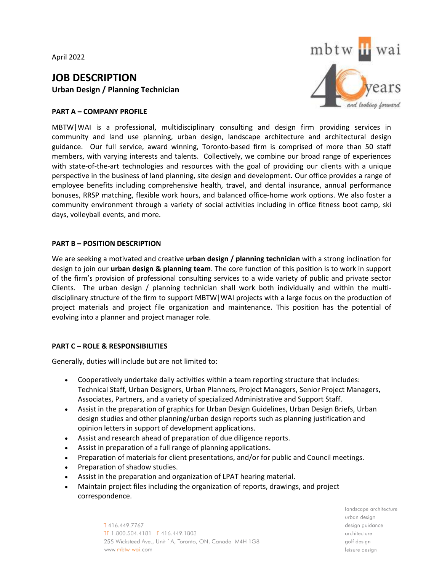April 2022

# **JOB DESCRIPTION Urban Design / Planning Technician**

## **PART A – COMPANY PROFILE**



MBTW|WAI is a professional, multidisciplinary consulting and design firm providing services in community and land use planning, urban design, landscape architecture and architectural design guidance. Our full service, award winning, Toronto-based firm is comprised of more than 50 staff members, with varying interests and talents. Collectively, we combine our broad range of experiences with state-of-the-art technologies and resources with the goal of providing our clients with a unique perspective in the business of land planning, site design and development. Our office provides a range of employee benefits including comprehensive health, travel, and dental insurance, annual performance bonuses, RRSP matching, flexible work hours, and balanced office-home work options. We also foster a community environment through a variety of social activities including in office fitness boot camp, ski days, volleyball events, and more.

#### **PART B – POSITION DESCRIPTION**

We are seeking a motivated and creative **urban design / planning technician** with a strong inclination for design to join our **urban design & planning team**. The core function of this position is to work in support of the firm's provision of professional consulting services to a wide variety of public and private sector Clients. The urban design / planning technician shall work both individually and within the multidisciplinary structure of the firm to support MBTW|WAI projects with a large focus on the production of project materials and project file organization and maintenance. This position has the potential of evolving into a planner and project manager role.

## **PART C – ROLE & RESPONSIBILITIES**

Generally, duties will include but are not limited to:

- Cooperatively undertake daily activities within a team reporting structure that includes: Technical Staff, Urban Designers, Urban Planners, Project Managers, Senior Project Managers, Associates, Partners, and a variety of specialized Administrative and Support Staff.
- Assist in the preparation of graphics for Urban Design Guidelines, Urban Design Briefs, Urban design studies and other planning/urban design reports such as planning justification and opinion letters in support of development applications.
- Assist and research ahead of preparation of due diligence reports.
- Assist in preparation of a full range of planning applications.
- Preparation of materials for client presentations, and/or for public and Council meetings.
- Preparation of shadow studies.
- Assist in the preparation and organization of LPAT hearing material.
- Maintain project files including the organization of reports, drawings, and project correspondence.

T416.449.7767 TF 1.800.504.4181 F 416.449.1803 255 Wicksteed Ave., Unit 1A, Toronto, ON, Canada M4H 1G8 www.mbtw-wai.com

landscape architecture urban desian design guidance architecture golf design leisure desian